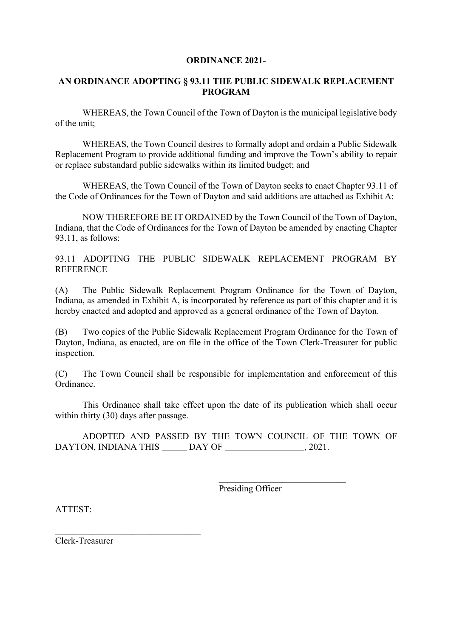## **ORDINANCE 2021-**

## **AN ORDINANCE ADOPTING § 93.11 THE PUBLIC SIDEWALK REPLACEMENT PROGRAM**

WHEREAS, the Town Council of the Town of Dayton is the municipal legislative body of the unit;

WHEREAS, the Town Council desires to formally adopt and ordain a Public Sidewalk Replacement Program to provide additional funding and improve the Town's ability to repair or replace substandard public sidewalks within its limited budget; and

WHEREAS, the Town Council of the Town of Dayton seeks to enact Chapter 93.11 of the Code of Ordinances for the Town of Dayton and said additions are attached as Exhibit A:

NOW THEREFORE BE IT ORDAINED by the Town Council of the Town of Dayton, Indiana, that the Code of Ordinances for the Town of Dayton be amended by enacting Chapter 93.11, as follows:

93.11 ADOPTING THE PUBLIC SIDEWALK REPLACEMENT PROGRAM BY **REFERENCE** 

(A) The Public Sidewalk Replacement Program Ordinance for the Town of Dayton, Indiana, as amended in Exhibit A, is incorporated by reference as part of this chapter and it is hereby enacted and adopted and approved as a general ordinance of the Town of Dayton.

(B) Two copies of the Public Sidewalk Replacement Program Ordinance for the Town of Dayton, Indiana, as enacted, are on file in the office of the Town Clerk-Treasurer for public inspection.

(C) The Town Council shall be responsible for implementation and enforcement of this Ordinance.

This Ordinance shall take effect upon the date of its publication which shall occur within thirty (30) days after passage.

ADOPTED AND PASSED BY THE TOWN COUNCIL OF THE TOWN OF DAYTON, INDIANA THIS DAY OF , 2021.

Presiding Officer

**\_\_\_\_\_\_\_\_\_\_\_\_\_\_\_\_\_\_\_\_\_\_\_\_\_\_\_\_**

ATTEST:

Clerk-Treasurer